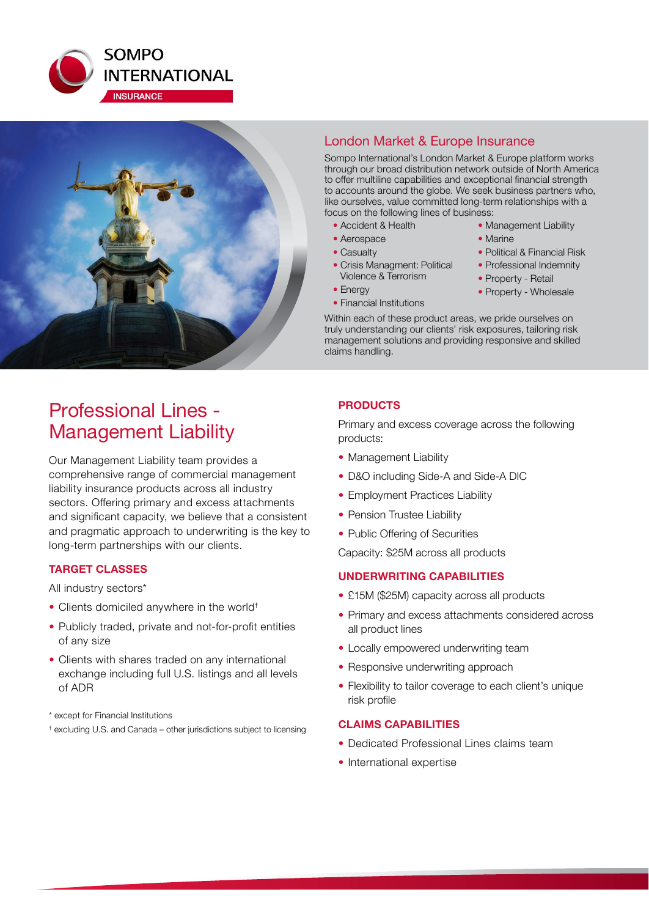



## London Market & Europe Insurance

Sompo International's London Market & Europe platform works through our broad distribution network outside of North America to offer multiline capabilities and exceptional financial strength to accounts around the globe. We seek business partners who, like ourselves, value committed long-term relationships with a focus on the following lines of business:

- Accident & Health
- Aerospace
- Casualty
- Crisis Managment: Political Violence & Terrorism
- Energy
- Financial Institutions
- Management Liability • Marine • Political & Financial Risk
- Professional Indemnity
- Property Retail
- Property Wholesale
- 
- 

Within each of these product areas, we pride ourselves on truly understanding our clients' risk exposures, tailoring risk management solutions and providing responsive and skilled claims handling.

# Professional Lines - Management Liability

Our Management Liability team provides a comprehensive range of commercial management liability insurance products across all industry sectors. Offering primary and excess attachments and significant capacity, we believe that a consistent and pragmatic approach to underwriting is the key to long-term partnerships with our clients.

### **TARGET CLASSES**

All industry sectors\*

- Clients domiciled anywhere in the world<sup>+</sup>
- Publicly traded, private and not-for-profit entities of any size
- Clients with shares traded on any international exchange including full U.S. listings and all levels of ADR
- \* except for Financial Institutions
- † excluding U.S. and Canada other jurisdictions subject to licensing

### **PRODUCTS**

Primary and excess coverage across the following products:

- Management Liability
- D&O including Side-A and Side-A DIC
- Employment Practices Liability
- Pension Trustee Liability
- Public Offering of Securities

Capacity: \$25M across all products

#### **UNDERWRITING CAPABILITIES**

- £15M (\$25M) capacity across all products
- Primary and excess attachments considered across all product lines
- Locally empowered underwriting team
- Responsive underwriting approach
- Flexibility to tailor coverage to each client's unique risk profile

#### **CLAIMS CAPABILITIES**

- Dedicated Professional Lines claims team
- International expertise